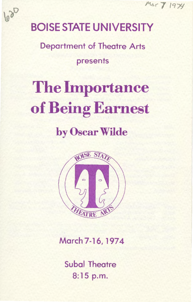Mar 7 1974

# BOISE STATE UNIVERSITY

620

Department of Theatre Arts presents

# The Importance of Being Earnest by Oscar Wilde



March 7-16, 1974

Subal Theatre 8:15 p.m.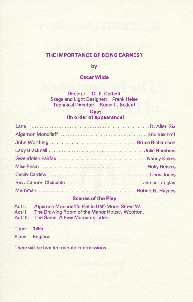# THE IMPORTANCE OF BEING EARNEST

by

# Oscar Wilde

Director: D. F. Corbett Stage and Light Designer: Frank Heise Technical Director: Roger L. Bedard

### **Cast** (in order of appearance)

| Rev. Cannon Chasuble James Langley |  |
|------------------------------------|--|
|                                    |  |

# Scenes of the Play

| Act I:  | Algernon Moncrieff's Flat in Half-Moon Street W. |
|---------|--------------------------------------------------|
| Act II: | The Drawing Room of the Manor House, Woolton.    |
|         | Act III: The Same, A Few Moments Later.          |
| Time:   | 1895                                             |
|         | Place: England                                   |

There will be two ten-minute intermissions.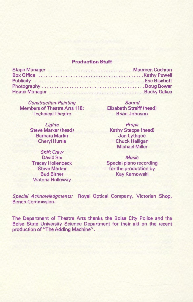### **Production Staff**

Construction-Painting Members of Theatre Arts 118: Technical Theatre

> Lights Steve Marker (head) Barbara Martin Cheryl Hurrle

Shift Crew David Six Tracey Hollenbeck Steve Marker Bud Bitner Victoria Holloway

Sound Elizabeth Streiff (head) Brian Johnson

Props Kathy Steppe (head) Jan Lythgoe Chuck Halligan Michael Miller

**Music** Special piano recording for the production by Kay Karnowski

Special Acknowledgments: Royal Optical Company, Victorian Shop, Bench Commission.

The Department of Theatre Arts thanks the Boise City Police and the Boise State University Science Department for their aid on the recent production of "The Adding Machine".